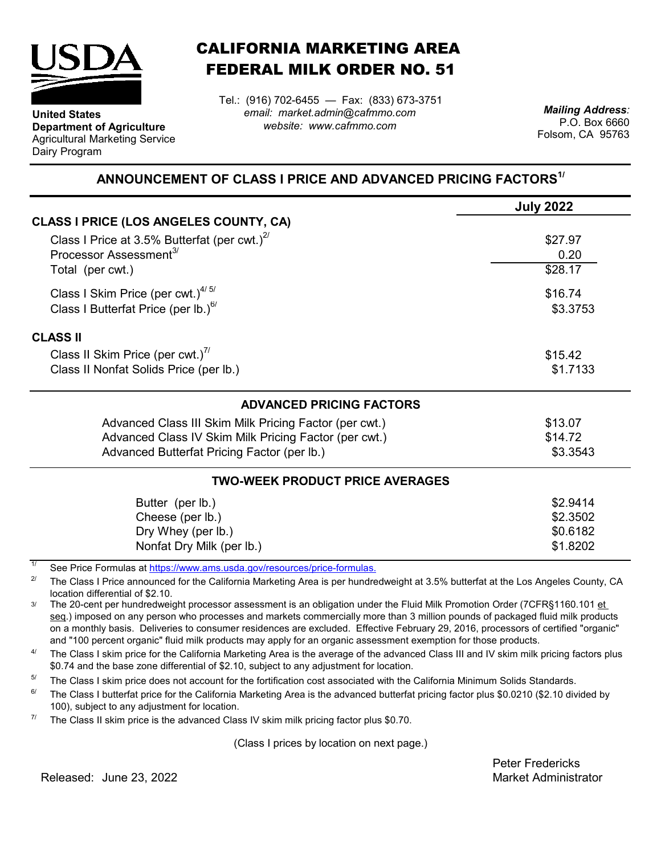

**Department of Agriculture** Agricultural Marketing Service

**United States**

Dairy Program

CALIFORNIA MARKETING AREA FEDERAL MILK ORDER NO. 51

Tel.: (916) 702-6455 — Fax: (833) 673-3751 *email: market.admin@cafmmo.com website: www.cafmmo.com*

*Mailing Address:* P.O. Box 6660 Folsom, CA 95763

## **ANNOUNCEMENT OF CLASS I PRICE AND ADVANCED PRICING FACTORS1/**

|                                                        | <b>July 2022</b> |
|--------------------------------------------------------|------------------|
| CLASS I PRICE (LOS ANGELES COUNTY, CA)                 |                  |
| Class I Price at 3.5% Butterfat (per cwt.) $^{27}$     | \$27.97          |
| Processor Assessment <sup>3/</sup>                     | 0.20             |
| Total (per cwt.)                                       | \$28.17          |
| Class I Skim Price (per cwt.) $4/5/$                   | \$16.74          |
| Class I Butterfat Price (per lb.) $^{6/}$              | \$3.3753         |
| <b>CLASS II</b>                                        |                  |
| Class II Skim Price (per cwt.)"                        | \$15.42          |
| Class II Nonfat Solids Price (per lb.)                 | \$1.7133         |
| <b>ADVANCED PRICING FACTORS</b>                        |                  |
| Advanced Class III Skim Milk Pricing Factor (per cwt.) | \$13.07          |
| Advanced Class IV Skim Milk Pricing Factor (per cwt.)  | \$14.72          |
| Advanced Butterfat Pricing Factor (per lb.)            | \$3.3543         |
| <b>TWO-WEEK PRODUCT PRICE AVERAGES</b>                 |                  |
| Butter (per lb.)                                       | \$2.9414         |
| Cheese (per lb.)                                       | \$2.3502         |
| Dry Whey (per lb.)                                     | \$0.6182         |
| Nonfat Dry Milk (per lb.)                              | \$1.8202         |

1/ [See Price Formulas at h](https://www.ams.usda.gov/resources/price-formulas)ttps://www.ams.usda.gov/resources/price-formulas.

2/ The Class I Price announced for the California Marketing Area is per hundredweight at 3.5% butterfat at the Los Angeles County, CA location differential of \$2.10.

3/ The 20-cent per hundredweight processor assessment is an obligation under the Fluid Milk Promotion Order (7CFR§1160.101 et seq.) imposed on any person who processes and markets commercially more than 3 million pounds of packaged fluid milk products on a monthly basis. Deliveries to consumer residences are excluded. Effective February 29, 2016, processors of certified "organic" and "100 percent organic" fluid milk products may apply for an organic assessment exemption for those products.

 $\Delta l$ The Class I skim price for the California Marketing Area is the average of the advanced Class III and IV skim milk pricing factors plus \$0.74 and the base zone differential of \$2.10, subject to any adjustment for location.

5/ The Class I skim price does not account for the fortification cost associated with the California Minimum Solids Standards.

 $6/$ The Class I butterfat price for the California Marketing Area is the advanced butterfat pricing factor plus \$0.0210 (\$2.10 divided by 100), subject to any adjustment for location.

7/ The Class II skim price is the advanced Class IV skim milk pricing factor plus \$0.70.

(Class I prices by location on next page.)

Peter Fredericks

Released: Market Administrator June 23, 2022